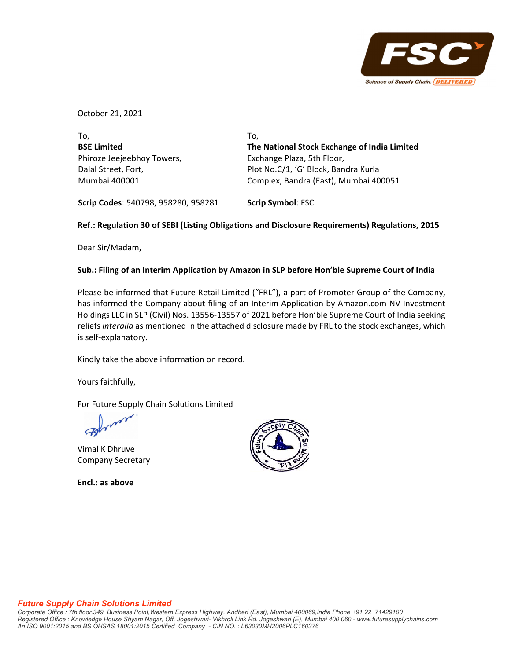

October 21, 2021

| To.                        | To.                                          |
|----------------------------|----------------------------------------------|
| <b>BSE Limited</b>         | The National Stock Exchange of India Limited |
| Phiroze Jeejeebhoy Towers, | Exchange Plaza, 5th Floor,                   |
| Dalal Street, Fort,        | Plot No.C/1, 'G' Block, Bandra Kurla         |
| Mumbai 400001              | Complex, Bandra (East), Mumbai 400051        |
|                            |                                              |

**Scrip Codes**: 540798, 958280, 958281 **Scrip Symbol**: FSC

## **Ref.: Regulation 30 of SEBI (Listing Obligations and Disclosure Requirements) Regulations, 2015**

Dear Sir/Madam,

## **Sub.: Filing of an Interim Application by Amazon in SLP before Hon'ble Supreme Court of India**

Please be informed that Future Retail Limited ("FRL"), a part of Promoter Group of the Company, has informed the Company about filing of an Interim Application by Amazon.com NV Investment Holdings LLC in SLP (Civil) Nos. 13556‐13557 of 2021 before Hon'ble Supreme Court of India seeking reliefs *interalia* as mentioned in the attached disclosure made by FRL to the stock exchanges, which is self‐explanatory.

Kindly take the above information on record.

Yours faithfully,

For Future Supply Chain Solutions Limited

Vimal K Dhruve Company Secretary

**Encl.: as above**



## *Future Supply Chain Solutions Limited*